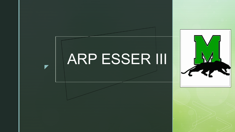## ARP ESSER III

 $\blacktriangledown$ 

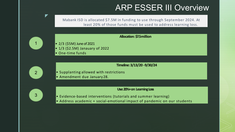## ARP ESSER III Overview

Mabank ISD is allocated \$7.5M in funding to use through September 2024. At least 20% of those funds must be used to address learning loss.

#### **Allocation: \$7.5million**



7

• 2/3 (\$5M) June of 2021

- 1/3 (\$2.5M) Janauary of 2022
- One-time funds

**Timeline: 3/13/20 -9/30/24**



- Supplanting allowed with restrictions
- Amendment due January 28.



**Use: 20%+on LearningLoss**

- Evidence-based interventions (tutorials and summer learning)
- Address academic + social-emotional impact of pandemic on our students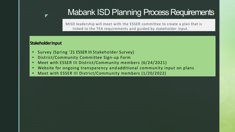## Mabank ISD Planning Process Requirements

MISD leadership will meet with the ESSER committee to create a plan that is linked to the TEA requirements and guided by stakeholder input.

#### **StakeholderInput**

- Survey (Spring '21 ESSER III Stakeholder Survey)
- District/Community Committee Sign-up Form
- Meet with ESSER III District/Community members (6/24/2021)
- Website for ongoing transparency and additional community input on plans
- Meet with ESSER III District/Community members (1/20/2022)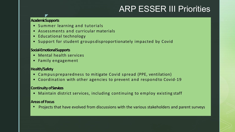## ARP ESSER III Priorities

#### $\blacktriangleright$ **AcademicSupports**

- Summer learning and tutorials
- Assessments and curricular materials
- Educational technology
- Support for student groupsdisproportionately impacted by Covid

#### **Social-EmotionalSupports**

- Mental health services
- Family engagement

#### **Health/Safety**

- Campus preparedness to mitigate Covid spread (PPE, ventilation)
- Coordination with other agencies to prevent and respond to Covid-19

#### **Continuity ofServices**

• Maintain district services, including continuing to employ existing staff

#### **Areas of Focus**

• Projects that have evolved from discussions with the various stakeholders and parent surveys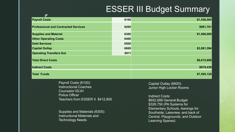### ESSER III Budget Summary

| <b>Payroll Costs</b>                        | 6100 | \$1,556,595 |
|---------------------------------------------|------|-------------|
| <b>Professional and Contracted Services</b> | 6200 | \$991,701   |
| <b>Supplies and Material</b>                | 6300 | \$1,006,000 |
| <b>Other Operating Costs</b>                | 6400 |             |
| <b>Debt Services</b>                        | 6500 |             |
| <b>Capital Outlay</b>                       | 6600 | \$3,061,394 |
| <b>Operating Transfers Out</b>              | 8911 |             |
| <b>Total Direct Costs</b>                   |      | \$6,615,690 |
| <b>Indirect Costs</b>                       |      | \$979,439   |
| <b>Total Funds</b>                          |      | \$7,595,129 |

Payroll Costs (6100): Instructional Coaches Counselor IS/JH Police Officer Teachers from ESSER II \$412,800

Supplies and Materials (6300): Instructional Materials and Technology Needs

Capital Outlay (6600): Junior High Locker Rooms

Indirect Costs: \$652,689 General Budget \$326,750 (PA Systems for Elementary Schools, Awnings for Southside, Lakeview, and back of Central, Playgrounds, and Outdoor Learning Spaces)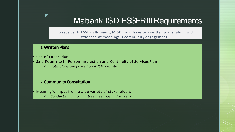## Mabank ISD ESSER III Requirements

To receive its ESSER allotment, MISD must have two written plans, along with evidence of meaningful community engagement.

#### **1. Written Plans**

• Use of Funds Plan

▼

- Safe Return to In-Person Instruction and Continuity of Services Plan
	- *Both plans are posted on MISD website*

#### **2. CommunityConsultation**

- Meaningful input from a wide variety of stakeholders
	- *Conducting via committee meetings and surveys*